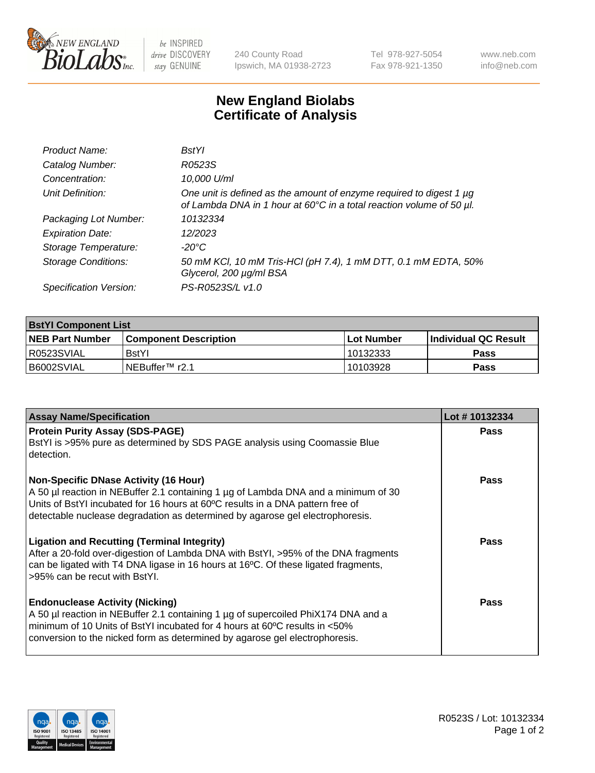

be INSPIRED drive DISCOVERY stay GENUINE

240 County Road Ipswich, MA 01938-2723 Tel 978-927-5054 Fax 978-921-1350 www.neb.com info@neb.com

## **New England Biolabs Certificate of Analysis**

| Product Name:              | <b>BstYl</b>                                                                                                                                |
|----------------------------|---------------------------------------------------------------------------------------------------------------------------------------------|
| Catalog Number:            | R0523S                                                                                                                                      |
| Concentration:             | 10,000 U/ml                                                                                                                                 |
| Unit Definition:           | One unit is defined as the amount of enzyme required to digest 1 µg<br>of Lambda DNA in 1 hour at 60°C in a total reaction volume of 50 µl. |
| Packaging Lot Number:      | 10132334                                                                                                                                    |
| <b>Expiration Date:</b>    | 12/2023                                                                                                                                     |
| Storage Temperature:       | -20°C                                                                                                                                       |
| <b>Storage Conditions:</b> | 50 mM KCl, 10 mM Tris-HCl (pH 7.4), 1 mM DTT, 0.1 mM EDTA, 50%<br>Glycerol, 200 µg/ml BSA                                                   |
| Specification Version:     | PS-R0523S/L v1.0                                                                                                                            |

| <b>BstYl Component List</b> |                         |              |                             |  |  |
|-----------------------------|-------------------------|--------------|-----------------------------|--|--|
| <b>NEB Part Number</b>      | l Component Description | l Lot Number | <b>Individual QC Result</b> |  |  |
| I R0523SVIAL                | <b>BstYI</b>            | 10132333     | Pass                        |  |  |
| I B6002SVIAL                | INEBuffer™ r2.1         | 10103928     | Pass                        |  |  |

| <b>Assay Name/Specification</b>                                                                                                                                                                                                                                                                       | Lot #10132334 |
|-------------------------------------------------------------------------------------------------------------------------------------------------------------------------------------------------------------------------------------------------------------------------------------------------------|---------------|
| <b>Protein Purity Assay (SDS-PAGE)</b><br>BstYI is >95% pure as determined by SDS PAGE analysis using Coomassie Blue<br>detection.                                                                                                                                                                    | Pass          |
| <b>Non-Specific DNase Activity (16 Hour)</b><br>A 50 µl reaction in NEBuffer 2.1 containing 1 µg of Lambda DNA and a minimum of 30<br>Units of BstYI incubated for 16 hours at 60°C results in a DNA pattern free of<br>detectable nuclease degradation as determined by agarose gel electrophoresis. | Pass          |
| <b>Ligation and Recutting (Terminal Integrity)</b><br>After a 20-fold over-digestion of Lambda DNA with BstYI, >95% of the DNA fragments<br>can be ligated with T4 DNA ligase in 16 hours at 16°C. Of these ligated fragments,<br>>95% can be recut with BstYI.                                       | Pass          |
| <b>Endonuclease Activity (Nicking)</b><br>A 50 µl reaction in NEBuffer 2.1 containing 1 µg of supercoiled PhiX174 DNA and a<br>minimum of 10 Units of BstYI incubated for 4 hours at 60°C results in <50%<br>conversion to the nicked form as determined by agarose gel electrophoresis.              | <b>Pass</b>   |